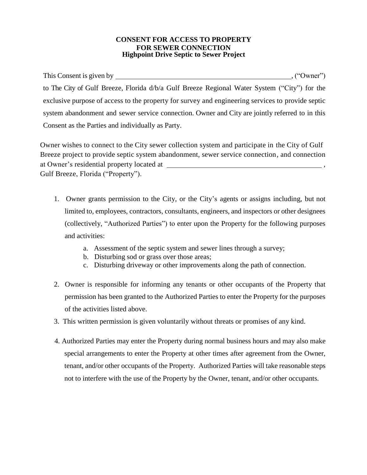## **CONSENT FOR ACCESS TO PROPERTY FOR SEWER CONNECTION Highpoint Drive Septic to Sewer Project**

This Consent is given by  $($  "Owner"),  $($  "Owner") to The City of Gulf Breeze, Florida d/b/a Gulf Breeze Regional Water System ("City") for the exclusive purpose of access to the property for survey and engineering services to provide septic system abandonment and sewer service connection. Owner and City are jointly referred to in this Consent as the Parties and individually as Party.

Owner wishes to connect to the City sewer collection system and participate in the City of Gulf Breeze project to provide septic system abandonment, sewer service connection, and connection at Owner's residential property located at , Gulf Breeze, Florida ("Property").

- 1. Owner grants permission to the City, or the City's agents or assigns including, but not limited to, employees, contractors, consultants, engineers, and inspectors or other designees (collectively, "Authorized Parties") to enter upon the Property for the following purposes and activities:
	- a. Assessment of the septic system and sewer lines through a survey;
	- b. Disturbing sod or grass over those areas;
	- c. Disturbing driveway or other improvements along the path of connection.
- 2. Owner is responsible for informing any tenants or other occupants of the Property that permission has been granted to the Authorized Parties to enter the Property for the purposes of the activities listed above.
- 3. This written permission is given voluntarily without threats or promises of any kind.
- 4. Authorized Parties may enter the Property during normal business hours and may also make special arrangements to enter the Property at other times after agreement from the Owner, tenant, and/or other occupants of the Property. Authorized Parties will take reasonable steps not to interfere with the use of the Property by the Owner, tenant, and/or other occupants.